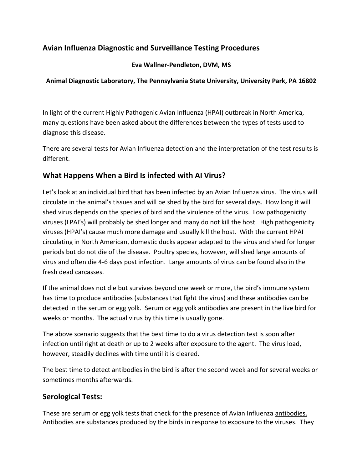# **Avian Influenza Diagnostic and Surveillance Testing Procedures**

#### **Eva Wallner-Pendleton, DVM, MS**

#### **Animal Diagnostic Laboratory, The Pennsylvania State University, University Park, PA 16802**

In light of the current Highly Pathogenic Avian Influenza (HPAI) outbreak in North America, many questions have been asked about the differences between the types of tests used to diagnose this disease.

There are several tests for Avian Influenza detection and the interpretation of the test results is different.

### **What Happens When a Bird Is infected with AI Virus?**

Let's look at an individual bird that has been infected by an Avian Influenza virus. The virus will circulate in the animal's tissues and will be shed by the bird for several days. How long it will shed virus depends on the species of bird and the virulence of the virus. Low pathogenicity viruses (LPAI's) will probably be shed longer and many do not kill the host. High pathogenicity viruses (HPAI's) cause much more damage and usually kill the host. With the current HPAI circulating in North American, domestic ducks appear adapted to the virus and shed for longer periods but do not die of the disease. Poultry species, however, will shed large amounts of virus and often die 4-6 days post infection. Large amounts of virus can be found also in the fresh dead carcasses.

If the animal does not die but survives beyond one week or more, the bird's immune system has time to produce antibodies (substances that fight the virus) and these antibodies can be detected in the serum or egg yolk. Serum or egg yolk antibodies are present in the live bird for weeks or months. The actual virus by this time is usually gone.

The above scenario suggests that the best time to do a virus detection test is soon after infection until right at death or up to 2 weeks after exposure to the agent. The virus load, however, steadily declines with time until it is cleared.

The best time to detect antibodies in the bird is after the second week and for several weeks or sometimes months afterwards.

## **Serological Tests:**

These are serum or egg yolk tests that check for the presence of Avian Influenza antibodies. Antibodies are substances produced by the birds in response to exposure to the viruses. They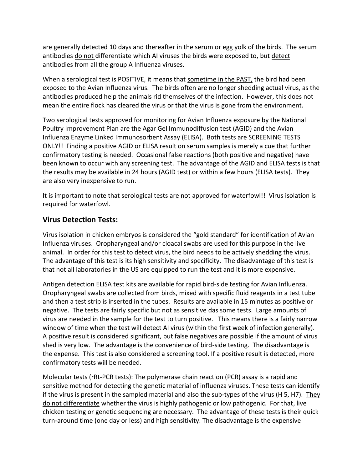are generally detected 10 days and thereafter in the serum or egg yolk of the birds. The serum antibodies do not differentiate which AI viruses the birds were exposed to, but detect antibodies from all the group A Influenza viruses.

When a serological test is POSITIVE, it means that sometime in the PAST, the bird had been exposed to the Avian Influenza virus. The birds often are no longer shedding actual virus, as the antibodies produced help the animals rid themselves of the infection. However, this does not mean the entire flock has cleared the virus or that the virus is gone from the environment.

Two serological tests approved for monitoring for Avian Influenza exposure by the National Poultry Improvement Plan are the Agar Gel Immunodiffusion test (AGID) and the Avian Influenza Enzyme Linked Immunosorbent Assay (ELISA). Both tests are SCREENING TESTS ONLY!! Finding a positive AGID or ELISA result on serum samples is merely a cue that further confirmatory testing is needed. Occasional false reactions (both positive and negative) have been known to occur with any screening test. The advantage of the AGID and ELISA tests is that the results may be available in 24 hours (AGID test) or within a few hours (ELISA tests). They are also very inexpensive to run.

It is important to note that serological tests are not approved for waterfowl!! Virus isolation is required for waterfowl.

## **Virus Detection Tests:**

Virus isolation in chicken embryos is considered the "gold standard" for identification of Avian Influenza viruses. Oropharyngeal and/or cloacal swabs are used for this purpose in the live animal. In order for this test to detect virus, the bird needs to be actively shedding the virus. The advantage of this test is its high sensitivity and specificity. The disadvantage of this test is that not all laboratories in the US are equipped to run the test and it is more expensive.

Antigen detection ELISA test kits are available for rapid bird-side testing for Avian Influenza. Oropharyngeal swabs are collected from birds, mixed with specific fluid reagents in a test tube and then a test strip is inserted in the tubes. Results are available in 15 minutes as positive or negative. The tests are fairly specific but not as sensitive das some tests. Large amounts of virus are needed in the sample for the test to turn positive. This means there is a fairly narrow window of time when the test will detect AI virus (within the first week of infection generally). A positive result is considered significant, but false negatives are possible if the amount of virus shed is very low. The advantage is the convenience of bird-side testing. The disadvantage is the expense. This test is also considered a screening tool. If a positive result is detected, more confirmatory tests will be needed.

Molecular tests (rRt-PCR tests): The polymerase chain reaction (PCR) assay is a rapid and sensitive method for detecting the genetic material of influenza viruses. These tests can identify if the virus is present in the sampled material and also the sub-types of the virus (H 5, H7). They do not differentiate whether the virus is highly pathogenic or low pathogenic. For that, live chicken testing or genetic sequencing are necessary. The advantage of these tests is their quick turn-around time (one day or less) and high sensitivity. The disadvantage is the expensive